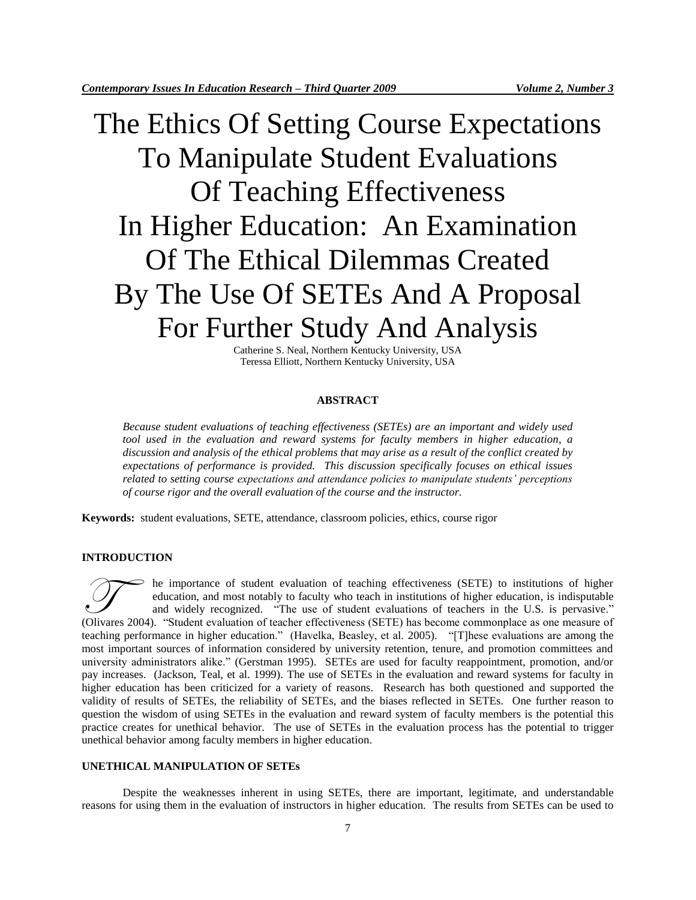# The Ethics Of Setting Course Expectations To Manipulate Student Evaluations Of Teaching Effectiveness In Higher Education: An Examination Of The Ethical Dilemmas Created By The Use Of SETEs And A Proposal For Further Study And Analysis

Catherine S. Neal, Northern Kentucky University, USA Teressa Elliott, Northern Kentucky University, USA

# **ABSTRACT**

*Because student evaluations of teaching effectiveness (SETEs) are an important and widely used tool used in the evaluation and reward systems for faculty members in higher education, a discussion and analysis of the ethical problems that may arise as a result of the conflict created by expectations of performance is provided. This discussion specifically focuses on ethical issues related to setting course expectations and attendance policies to manipulate students' perceptions of course rigor and the overall evaluation of the course and the instructor.* 

**Keywords:** student evaluations, SETE, attendance, classroom policies, ethics, course rigor

# **INTRODUCTION**

he importance of student evaluation of teaching effectiveness (SETE) to institutions of higher education, and most notably to faculty who teach in institutions of higher education, is indisputable and widely recognized. "The use of student evaluations of teachers in the U.S. is pervasive." The importance of student evaluation of teaching effectiveness (SETE) to institutions of higher education, and most notably to faculty who teach in institutions of higher education, is indisputable and widely recognized. " teaching performance in higher education." (Havelka, Beasley, et al. 2005). "[T]hese evaluations are among the most important sources of information considered by university retention, tenure, and promotion committees and university administrators alike." (Gerstman 1995). SETEs are used for faculty reappointment, promotion, and/or pay increases. (Jackson, Teal, et al. 1999). The use of SETEs in the evaluation and reward systems for faculty in higher education has been criticized for a variety of reasons. Research has both questioned and supported the validity of results of SETEs, the reliability of SETEs, and the biases reflected in SETEs. One further reason to question the wisdom of using SETEs in the evaluation and reward system of faculty members is the potential this practice creates for unethical behavior. The use of SETEs in the evaluation process has the potential to trigger unethical behavior among faculty members in higher education.

# **UNETHICAL MANIPULATION OF SETEs**

Despite the weaknesses inherent in using SETEs, there are important, legitimate, and understandable reasons for using them in the evaluation of instructors in higher education. The results from SETEs can be used to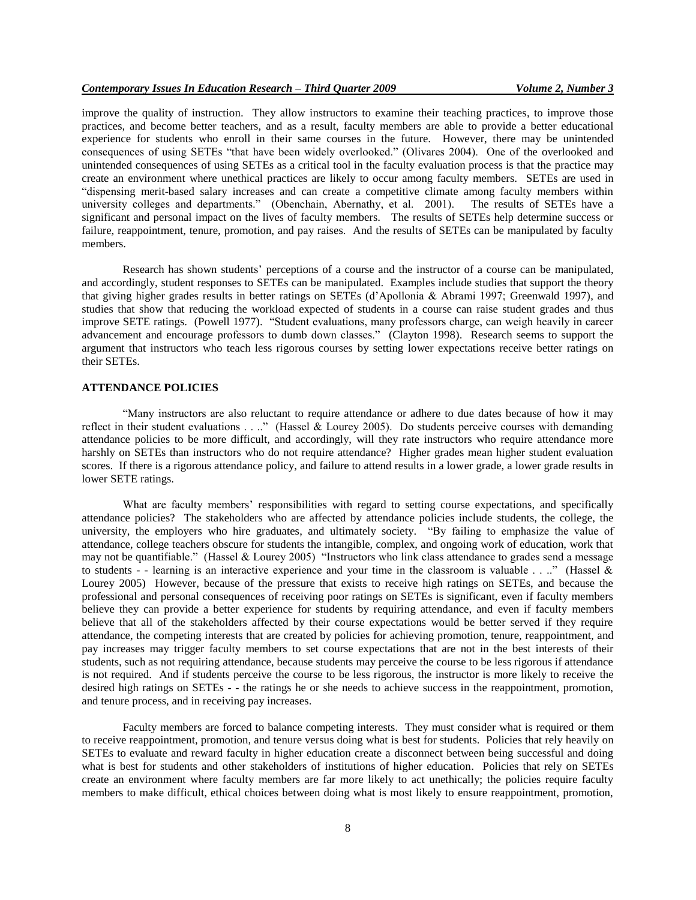improve the quality of instruction. They allow instructors to examine their teaching practices, to improve those practices, and become better teachers, and as a result, faculty members are able to provide a better educational experience for students who enroll in their same courses in the future. However, there may be unintended consequences of using SETEs "that have been widely overlooked." (Olivares 2004). One of the overlooked and unintended consequences of using SETEs as a critical tool in the faculty evaluation process is that the practice may create an environment where unethical practices are likely to occur among faculty members. SETEs are used in "dispensing merit-based salary increases and can create a competitive climate among faculty members within university colleges and departments." (Obenchain, Abernathy, et al. 2001). The results of SETEs have a significant and personal impact on the lives of faculty members. The results of SETEs help determine success or failure, reappointment, tenure, promotion, and pay raises. And the results of SETEs can be manipulated by faculty members.

Research has shown students' perceptions of a course and the instructor of a course can be manipulated, and accordingly, student responses to SETEs can be manipulated. Examples include studies that support the theory that giving higher grades results in better ratings on SETEs (d'Apollonia & Abrami 1997; Greenwald 1997), and studies that show that reducing the workload expected of students in a course can raise student grades and thus improve SETE ratings. (Powell 1977). "Student evaluations, many professors charge, can weigh heavily in career advancement and encourage professors to dumb down classes." (Clayton 1998). Research seems to support the argument that instructors who teach less rigorous courses by setting lower expectations receive better ratings on their SETEs.

# **ATTENDANCE POLICIES**

"Many instructors are also reluctant to require attendance or adhere to due dates because of how it may reflect in their student evaluations . . .." (Hassel & Lourey 2005). Do students perceive courses with demanding attendance policies to be more difficult, and accordingly, will they rate instructors who require attendance more harshly on SETEs than instructors who do not require attendance? Higher grades mean higher student evaluation scores. If there is a rigorous attendance policy, and failure to attend results in a lower grade, a lower grade results in lower SETE ratings.

What are faculty members' responsibilities with regard to setting course expectations, and specifically attendance policies? The stakeholders who are affected by attendance policies include students, the college, the university, the employers who hire graduates, and ultimately society. "By failing to emphasize the value of attendance, college teachers obscure for students the intangible, complex, and ongoing work of education, work that may not be quantifiable." (Hassel & Lourey 2005) "Instructors who link class attendance to grades send a message to students - - learning is an interactive experience and your time in the classroom is valuable  $\dots$ ." (Hassel & Lourey 2005) However, because of the pressure that exists to receive high ratings on SETEs, and because the professional and personal consequences of receiving poor ratings on SETEs is significant, even if faculty members believe they can provide a better experience for students by requiring attendance, and even if faculty members believe that all of the stakeholders affected by their course expectations would be better served if they require attendance, the competing interests that are created by policies for achieving promotion, tenure, reappointment, and pay increases may trigger faculty members to set course expectations that are not in the best interests of their students, such as not requiring attendance, because students may perceive the course to be less rigorous if attendance is not required. And if students perceive the course to be less rigorous, the instructor is more likely to receive the desired high ratings on SETEs - - the ratings he or she needs to achieve success in the reappointment, promotion, and tenure process, and in receiving pay increases.

Faculty members are forced to balance competing interests. They must consider what is required or them to receive reappointment, promotion, and tenure versus doing what is best for students. Policies that rely heavily on SETEs to evaluate and reward faculty in higher education create a disconnect between being successful and doing what is best for students and other stakeholders of institutions of higher education. Policies that rely on SETEs create an environment where faculty members are far more likely to act unethically; the policies require faculty members to make difficult, ethical choices between doing what is most likely to ensure reappointment, promotion,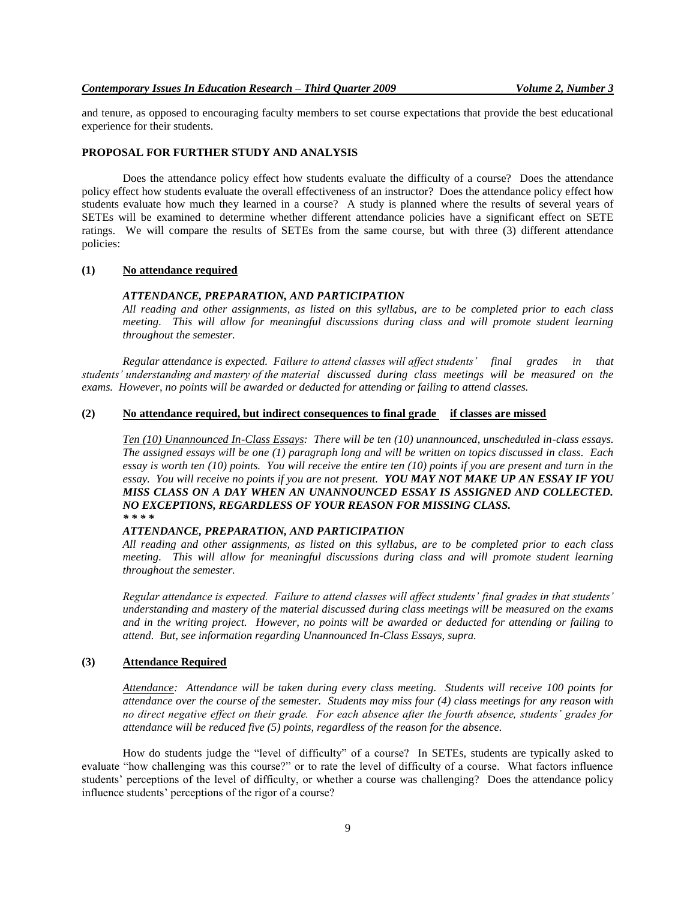and tenure, as opposed to encouraging faculty members to set course expectations that provide the best educational experience for their students.

## **PROPOSAL FOR FURTHER STUDY AND ANALYSIS**

Does the attendance policy effect how students evaluate the difficulty of a course? Does the attendance policy effect how students evaluate the overall effectiveness of an instructor? Does the attendance policy effect how students evaluate how much they learned in a course? A study is planned where the results of several years of SETEs will be examined to determine whether different attendance policies have a significant effect on SETE ratings. We will compare the results of SETEs from the same course, but with three (3) different attendance policies:

#### **(1) No attendance required**

#### *ATTENDANCE, PREPARATION, AND PARTICIPATION*

*All reading and other assignments, as listed on this syllabus, are to be completed prior to each class meeting. This will allow for meaningful discussions during class and will promote student learning throughout the semester.* 

*Regular attendance is expected. Failure to attend classes will affect students' final grades in that students' understanding and mastery of the material discussed during class meetings will be measured on the exams. However, no points will be awarded or deducted for attending or failing to attend classes.*

## **(2) No attendance required, but indirect consequences to final grade if classes are missed**

*Ten (10) Unannounced In-Class Essays: There will be ten (10) unannounced, unscheduled in-class essays. The assigned essays will be one (1) paragraph long and will be written on topics discussed in class. Each essay is worth ten (10) points. You will receive the entire ten (10) points if you are present and turn in the essay. You will receive no points if you are not present. YOU MAY NOT MAKE UP AN ESSAY IF YOU MISS CLASS ON A DAY WHEN AN UNANNOUNCED ESSAY IS ASSIGNED AND COLLECTED. NO EXCEPTIONS, REGARDLESS OF YOUR REASON FOR MISSING CLASS. \* \* \* \**

# *ATTENDANCE, PREPARATION, AND PARTICIPATION*

*All reading and other assignments, as listed on this syllabus, are to be completed prior to each class meeting. This will allow for meaningful discussions during class and will promote student learning throughout the semester.* 

*Regular attendance is expected. Failure to attend classes will affect students' final grades in that students' understanding and mastery of the material discussed during class meetings will be measured on the exams and in the writing project. However, no points will be awarded or deducted for attending or failing to attend. But, see information regarding Unannounced In-Class Essays, supra.* 

# **(3) Attendance Required**

*Attendance: Attendance will be taken during every class meeting. Students will receive 100 points for attendance over the course of the semester. Students may miss four (4) class meetings for any reason with no direct negative effect on their grade. For each absence after the fourth absence, students' grades for attendance will be reduced five (5) points, regardless of the reason for the absence.* 

How do students judge the "level of difficulty" of a course? In SETEs, students are typically asked to evaluate "how challenging was this course?" or to rate the level of difficulty of a course. What factors influence students' perceptions of the level of difficulty, or whether a course was challenging? Does the attendance policy influence students' perceptions of the rigor of a course?